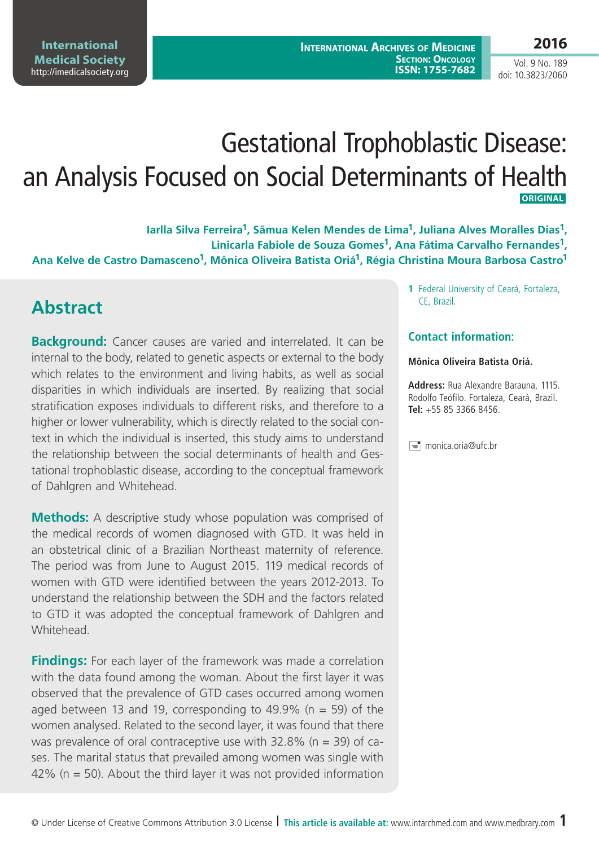# Gestational Trophoblastic Disease: an Analysis Focused on Social Determinants of Health  **ORIGINAL**

**Iarlla Silva Ferreira1, Sâmua Kelen Mendes de Lima1, Juliana Alves Moralles Dias1, Linicarla Fabiole de Souza Gomes1, Ana Fátima Carvalho Fernandes1, Ana Kelve de Castro Damasceno1, Mônica Oliveira Batista Oriá1, Régia Christina Moura Barbosa Castro1**

## **Abstract**

**Background:** Cancer causes are varied and interrelated. It can be internal to the body, related to genetic aspects or external to the body which relates to the environment and living habits, as well as social disparities in which individuals are inserted. By realizing that social stratification exposes individuals to different risks, and therefore to a higher or lower vulnerability, which is directly related to the social context in which the individual is inserted, this study aims to understand the relationship between the social determinants of health and Gestational trophoblastic disease, according to the conceptual framework of Dahlgren and Whitehead.

**Methods:** A descriptive study whose population was comprised of the medical records of women diagnosed with GTD. It was held in an obstetrical clinic of a Brazilian Northeast maternity of reference. The period was from June to August 2015. 119 medical records of women with GTD were identified between the years 2012-2013. To understand the relationship between the SDH and the factors related to GTD it was adopted the conceptual framework of Dahlgren and **Whitehead** 

**Findings:** For each layer of the framework was made a correlation with the data found among the woman. About the first layer it was observed that the prevalence of GTD cases occurred among women aged between 13 and 19, corresponding to  $49.9\%$  (n = 59) of the women analysed. Related to the second layer, it was found that there was prevalence of oral contraceptive use with  $32.8\%$  (n = 39) of cases. The marital status that prevailed among women was single with 42% ( $n = 50$ ). About the third layer it was not provided information

**1** Federal University of Ceará, Fortaleza, CE, Brazil.

#### **Contact information:**

#### **Mônica Oliveira Batista Oriá.**

**Address:** Rua Alexandre Barauna, 1115. Rodolfo Teófilo. Fortaleza, Ceará, Brazil. **Tel:** +55 85 3366 8456.

 $\equiv$  monica.oria@ufc.br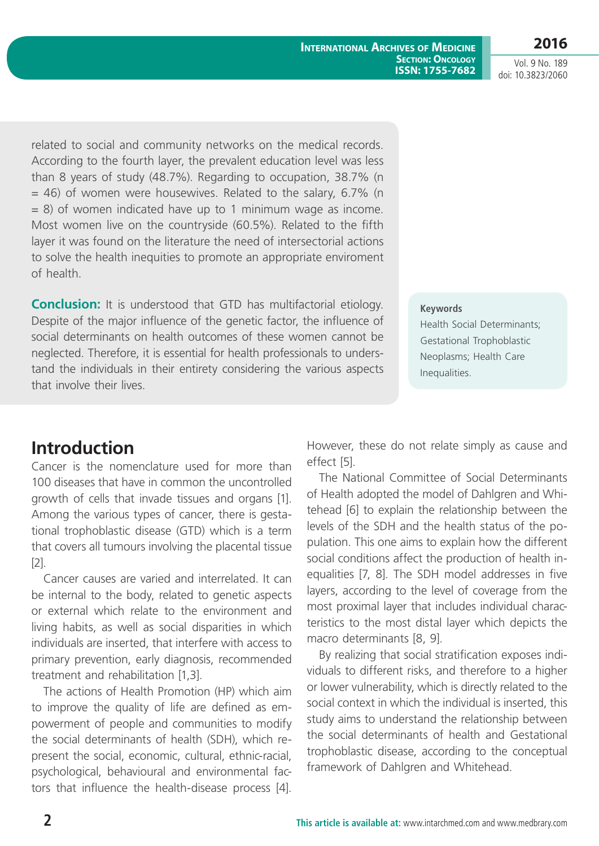related to social and community networks on the medical records. According to the fourth layer, the prevalent education level was less than 8 years of study (48.7%). Regarding to occupation, 38.7% (n  $=$  46) of women were housewives. Related to the salary, 6.7% (n  $= 8$ ) of women indicated have up to 1 minimum wage as income. Most women live on the countryside (60.5%). Related to the fifth layer it was found on the literature the need of intersectorial actions to solve the health inequities to promote an appropriate enviroment of health.

**Conclusion:** It is understood that GTD has multifactorial etiology. Despite of the major influence of the genetic factor, the influence of social determinants on health outcomes of these women cannot be neglected. Therefore, it is essential for health professionals to understand the individuals in their entirety considering the various aspects that involve their lives.

# **Introduction**

Cancer is the nomenclature used for more than 100 diseases that have in common the uncontrolled growth of cells that invade tissues and organs [1]. Among the various types of cancer, there is gestational trophoblastic disease (GTD) which is a term that covers all tumours involving the placental tissue [2].

Cancer causes are varied and interrelated. It can be internal to the body, related to genetic aspects or external which relate to the environment and living habits, as well as social disparities in which individuals are inserted, that interfere with access to primary prevention, early diagnosis, recommended treatment and rehabilitation [1,3].

The actions of Health Promotion (HP) which aim to improve the quality of life are defined as empowerment of people and communities to modify the social determinants of health (SDH), which represent the social, economic, cultural, ethnic-racial, psychological, behavioural and environmental factors that influence the health-disease process [4].

However, these do not relate simply as cause and effect [5].

The National Committee of Social Determinants of Health adopted the model of Dahlgren and Whitehead [6] to explain the relationship between the levels of the SDH and the health status of the population. This one aims to explain how the different social conditions affect the production of health inequalities [7, 8]. The SDH model addresses in five layers, according to the level of coverage from the most proximal layer that includes individual characteristics to the most distal layer which depicts the macro determinants [8, 9].

By realizing that social stratification exposes individuals to different risks, and therefore to a higher or lower vulnerability, which is directly related to the social context in which the individual is inserted, this study aims to understand the relationship between the social determinants of health and Gestational trophoblastic disease, according to the conceptual framework of Dahlgren and Whitehead.

#### **Keywords**

Health Social Determinants; Gestational Trophoblastic Neoplasms; Health Care Inequalities.



**SECTION: ONCOLOGY ISSN: 1755-7682**

**International Archives of Medicine**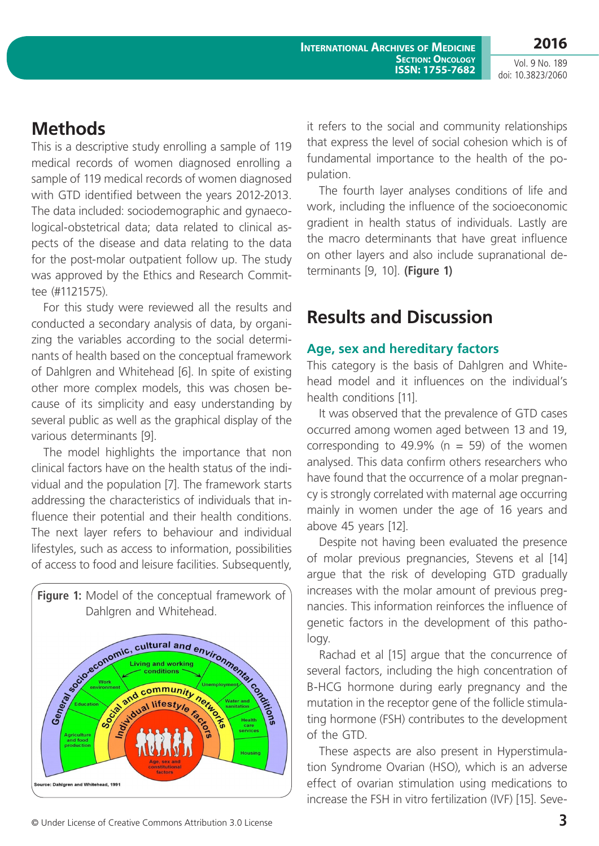## **Methods**

This is a descriptive study enrolling a sample of 119 medical records of women diagnosed enrolling a sample of 119 medical records of women diagnosed with GTD identified between the years 2012-2013. The data included: sociodemographic and gynaecological-obstetrical data; data related to clinical aspects of the disease and data relating to the data for the post-molar outpatient follow up. The study was approved by the Ethics and Research Committee (#1121575).

For this study were reviewed all the results and conducted a secondary analysis of data, by organizing the variables according to the social determinants of health based on the conceptual framework of Dahlgren and Whitehead [6]. In spite of existing other more complex models, this was chosen because of its simplicity and easy understanding by several public as well as the graphical display of the various determinants [9].

The model highlights the importance that non clinical factors have on the health status of the individual and the population [7]. The framework starts addressing the characteristics of individuals that influence their potential and their health conditions. The next layer refers to behaviour and individual lifestyles, such as access to information, possibilities of access to food and leisure facilities. Subsequently,



it refers to the social and community relationships that express the level of social cohesion which is of fundamental importance to the health of the population.

The fourth layer analyses conditions of life and work, including the influence of the socioeconomic gradient in health status of individuals. Lastly are the macro determinants that have great influence on other layers and also include supranational determinants [9, 10]. **(Figure 1)**

# **Results and Discussion**

#### **Age, sex and hereditary factors**

This category is the basis of Dahlgren and Whitehead model and it influences on the individual's health conditions [11].

It was observed that the prevalence of GTD cases occurred among women aged between 13 and 19, corresponding to 49.9% ( $n = 59$ ) of the women analysed. This data confirm others researchers who have found that the occurrence of a molar pregnancy is strongly correlated with maternal age occurring mainly in women under the age of 16 years and above 45 years [12].

Despite not having been evaluated the presence of molar previous pregnancies, Stevens et al [14] argue that the risk of developing GTD gradually increases with the molar amount of previous pregnancies. This information reinforces the influence of genetic factors in the development of this pathology.

Rachad et al [15] argue that the concurrence of several factors, including the high concentration of B-HCG hormone during early pregnancy and the mutation in the receptor gene of the follicle stimulating hormone (FSH) contributes to the development of the GTD.

These aspects are also present in Hyperstimulation Syndrome Ovarian (HSO), which is an adverse effect of ovarian stimulation using medications to increase the FSH in vitro fertilization (IVF) [15]. Seve-

© Under License of Creative Commons Attribution 3.0 License **3**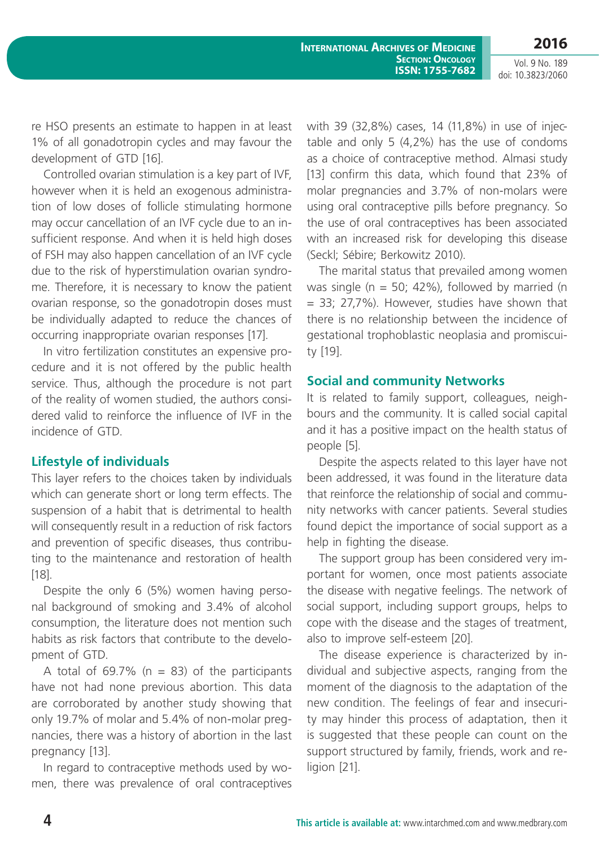re HSO presents an estimate to happen in at least 1% of all gonadotropin cycles and may favour the development of GTD [16].

Controlled ovarian stimulation is a key part of IVF, however when it is held an exogenous administration of low doses of follicle stimulating hormone may occur cancellation of an IVF cycle due to an insufficient response. And when it is held high doses of FSH may also happen cancellation of an IVF cycle due to the risk of hyperstimulation ovarian syndrome. Therefore, it is necessary to know the patient ovarian response, so the gonadotropin doses must be individually adapted to reduce the chances of occurring inappropriate ovarian responses [17].

In vitro fertilization constitutes an expensive procedure and it is not offered by the public health service. Thus, although the procedure is not part of the reality of women studied, the authors considered valid to reinforce the influence of IVF in the incidence of GTD.

#### **Lifestyle of individuals**

This layer refers to the choices taken by individuals which can generate short or long term effects. The suspension of a habit that is detrimental to health will consequently result in a reduction of risk factors and prevention of specific diseases, thus contributing to the maintenance and restoration of health [18].

Despite the only 6 (5%) women having personal background of smoking and 3.4% of alcohol consumption, the literature does not mention such habits as risk factors that contribute to the development of GTD.

A total of 69.7% ( $n = 83$ ) of the participants have not had none previous abortion. This data are corroborated by another study showing that only 19.7% of molar and 5.4% of non-molar pregnancies, there was a history of abortion in the last pregnancy [13].

In regard to contraceptive methods used by women, there was prevalence of oral contraceptives with 39 (32,8%) cases, 14 (11,8%) in use of injectable and only 5 (4,2%) has the use of condoms as a choice of contraceptive method. Almasi study [13] confirm this data, which found that 23% of molar pregnancies and 3.7% of non-molars were using oral contraceptive pills before pregnancy. So the use of oral contraceptives has been associated with an increased risk for developing this disease (Seckl; Sébire; Berkowitz 2010).

The marital status that prevailed among women was single ( $n = 50$ ; 42%), followed by married ( $n = 50$ ; 42%)  $= 33$ ; 27,7%). However, studies have shown that there is no relationship between the incidence of gestational trophoblastic neoplasia and promiscuity [19].

#### **Social and community Networks**

It is related to family support, colleagues, neighbours and the community. It is called social capital and it has a positive impact on the health status of people [5].

Despite the aspects related to this layer have not been addressed, it was found in the literature data that reinforce the relationship of social and community networks with cancer patients. Several studies found depict the importance of social support as a help in fighting the disease.

The support group has been considered very important for women, once most patients associate the disease with negative feelings. The network of social support, including support groups, helps to cope with the disease and the stages of treatment, also to improve self-esteem [20].

The disease experience is characterized by individual and subjective aspects, ranging from the moment of the diagnosis to the adaptation of the new condition. The feelings of fear and insecurity may hinder this process of adaptation, then it is suggested that these people can count on the support structured by family, friends, work and religion [21].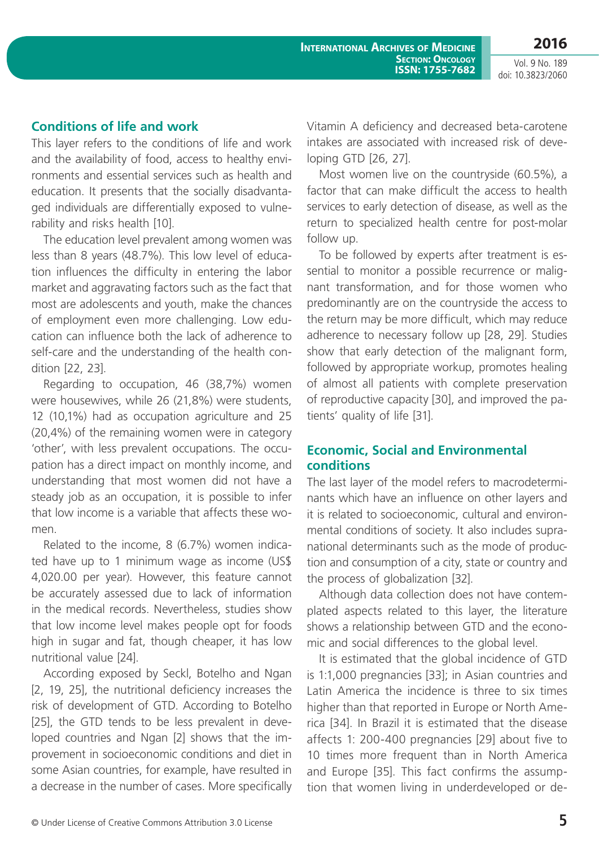#### **Conditions of life and work**

This layer refers to the conditions of life and work and the availability of food, access to healthy environments and essential services such as health and education. It presents that the socially disadvantaged individuals are differentially exposed to vulnerability and risks health [10].

The education level prevalent among women was less than 8 years (48.7%). This low level of education influences the difficulty in entering the labor market and aggravating factors such as the fact that most are adolescents and youth, make the chances of employment even more challenging. Low education can influence both the lack of adherence to self-care and the understanding of the health condition [22, 23].

Regarding to occupation, 46 (38,7%) women were housewives, while 26 (21,8%) were students, 12 (10,1%) had as occupation agriculture and 25 (20,4%) of the remaining women were in category 'other', with less prevalent occupations. The occupation has a direct impact on monthly income, and understanding that most women did not have a steady job as an occupation, it is possible to infer that low income is a variable that affects these women.

Related to the income, 8 (6.7%) women indicated have up to 1 minimum wage as income (US\$ 4,020.00 per year). However, this feature cannot be accurately assessed due to lack of information in the medical records. Nevertheless, studies show that low income level makes people opt for foods high in sugar and fat, though cheaper, it has low nutritional value [24].

According exposed by Seckl, Botelho and Ngan [2, 19, 25], the nutritional deficiency increases the risk of development of GTD. According to Botelho [25], the GTD tends to be less prevalent in developed countries and Ngan [2] shows that the improvement in socioeconomic conditions and diet in some Asian countries, for example, have resulted in a decrease in the number of cases. More specifically Vitamin A deficiency and decreased beta-carotene intakes are associated with increased risk of developing GTD [26, 27].

Most women live on the countryside (60.5%), a factor that can make difficult the access to health services to early detection of disease, as well as the return to specialized health centre for post-molar follow up.

To be followed by experts after treatment is essential to monitor a possible recurrence or malignant transformation, and for those women who predominantly are on the countryside the access to the return may be more difficult, which may reduce adherence to necessary follow up [28, 29]. Studies show that early detection of the malignant form, followed by appropriate workup, promotes healing of almost all patients with complete preservation of reproductive capacity [30], and improved the patients' quality of life [31].

#### **Economic, Social and Environmental conditions**

The last layer of the model refers to macrodeterminants which have an influence on other layers and it is related to socioeconomic, cultural and environmental conditions of society. It also includes supranational determinants such as the mode of production and consumption of a city, state or country and the process of globalization [32].

Although data collection does not have contemplated aspects related to this layer, the literature shows a relationship between GTD and the economic and social differences to the global level.

It is estimated that the global incidence of GTD is 1:1,000 pregnancies [33]; in Asian countries and Latin America the incidence is three to six times higher than that reported in Europe or North America [34]. In Brazil it is estimated that the disease affects 1: 200-400 pregnancies [29] about five to 10 times more frequent than in North America and Europe [35]. This fact confirms the assumption that women living in underdeveloped or de-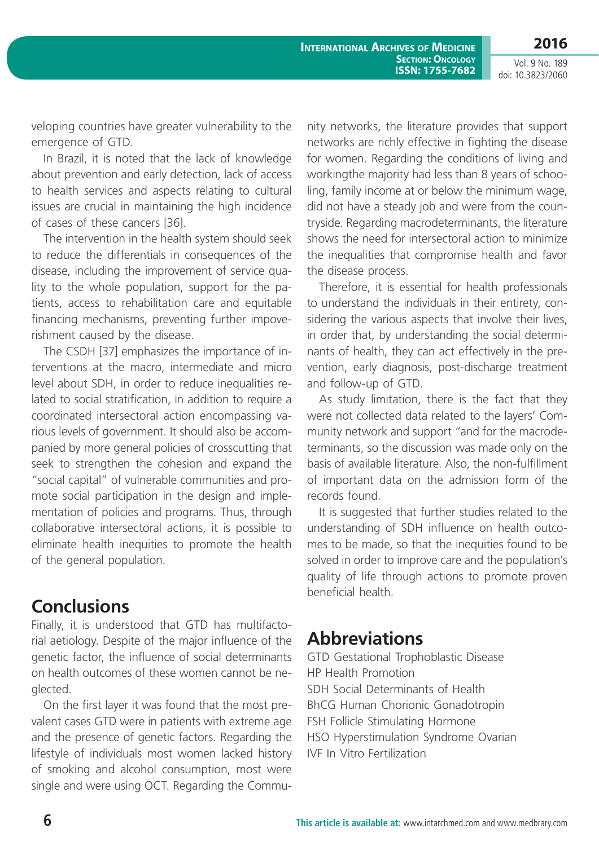**2016**

**International Archives of Medicine SECTION: ONCOLOGY ISSN: 1755-7682**

Vol. 9 No. 189 doi: 10.3823/2060

veloping countries have greater vulnerability to the emergence of GTD.

In Brazil, it is noted that the lack of knowledge about prevention and early detection, lack of access to health services and aspects relating to cultural issues are crucial in maintaining the high incidence of cases of these cancers [36].

The intervention in the health system should seek to reduce the differentials in consequences of the disease, including the improvement of service quality to the whole population, support for the patients, access to rehabilitation care and equitable financing mechanisms, preventing further impoverishment caused by the disease.

The CSDH [37] emphasizes the importance of interventions at the macro, intermediate and micro level about SDH, in order to reduce inequalities related to social stratification, in addition to require a coordinated intersectoral action encompassing various levels of government. It should also be accompanied by more general policies of crosscutting that seek to strengthen the cohesion and expand the "social capital" of vulnerable communities and promote social participation in the design and implementation of policies and programs. Thus, through collaborative intersectoral actions, it is possible to eliminate health inequities to promote the health of the general population.

### **Conclusions**

Finally, it is understood that GTD has multifactorial aetiology. Despite of the major influence of the genetic factor, the influence of social determinants on health outcomes of these women cannot be neglected.

On the first layer it was found that the most prevalent cases GTD were in patients with extreme age and the presence of genetic factors. Regarding the lifestyle of individuals most women lacked history of smoking and alcohol consumption, most were single and were using OCT. Regarding the Community networks, the literature provides that support networks are richly effective in fighting the disease for women. Regarding the conditions of living and workingthe majority had less than 8 years of schooling, family income at or below the minimum wage, did not have a steady job and were from the countryside. Regarding macrodeterminants, the literature shows the need for intersectoral action to minimize the inequalities that compromise health and favor the disease process.

Therefore, it is essential for health professionals to understand the individuals in their entirety, considering the various aspects that involve their lives, in order that, by understanding the social determinants of health, they can act effectively in the prevention, early diagnosis, post-discharge treatment and follow-up of GTD.

As study limitation, there is the fact that they were not collected data related to the layers' Community network and support "and for the macrodeterminants, so the discussion was made only on the basis of available literature. Also, the non-fulfillment of important data on the admission form of the records found.

It is suggested that further studies related to the understanding of SDH influence on health outcomes to be made, so that the inequities found to be solved in order to improve care and the population's quality of life through actions to promote proven beneficial health.

### **Abbreviations**

GTD Gestational Trophoblastic Disease HP Health Promotion SDH Social Determinants of Health BhCG Human Chorionic Gonadotropin FSH Follicle Stimulating Hormone HSO Hyperstimulation Syndrome Ovarian IVF In Vitro Fertilization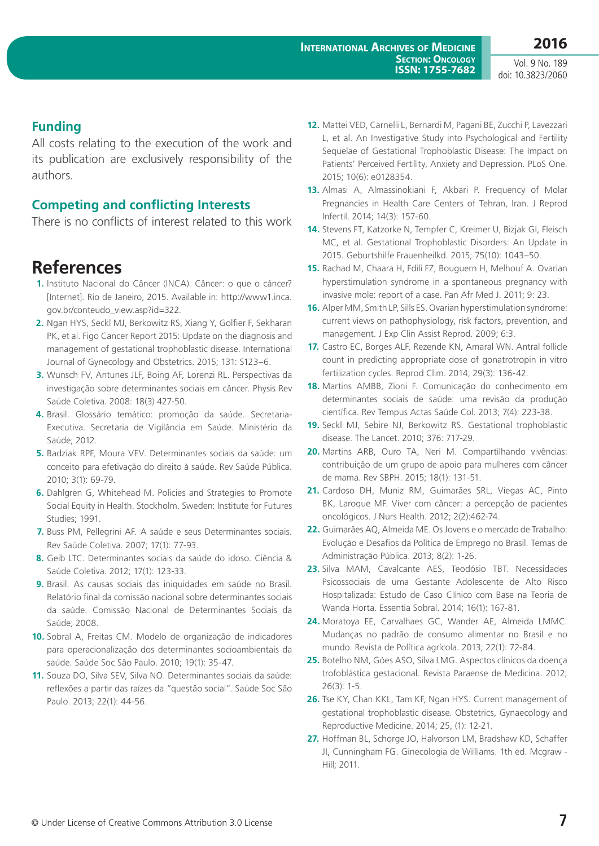#### **Funding**

All costs relating to the execution of the work and its publication are exclusively responsibility of the authors.

#### **Competing and conflicting Interests**

There is no conflicts of interest related to this work

### **References**

- **1.** Instituto Nacional do Câncer (INCA). Câncer: o que o câncer? [Internet]. Rio de Janeiro, 2015. Available in: http://www1.inca. gov.br/conteudo\_view.asp?id=322*.*
- **2.** Ngan HYS, Seckl MJ, Berkowitz RS, Xiang Y, Golfier F, Sekharan PK, et al. Figo Cancer Report 2015: Update on the diagnosis and management of gestational trophoblastic disease. International Journal of Gynecology and Obstetrics. 2015; 131: S123–6.
- **3.** Wunsch FV, Antunes JLF, Boing AF, Lorenzi RL. Perspectivas da investigação sobre determinantes sociais em câncer. Physis Rev Saúde Coletiva. 2008: 18(3) 427-50.
- **4.** Brasil. Glossário temático: promoção da saúde. Secretaria-Executiva. Secretaria de Vigilância em Saúde. Ministério da Saúde; 2012.
- **5.** Badziak RPF, Moura VEV. Determinantes sociais da saúde: um conceito para efetivação do direito à saúde. Rev Saúde Pública. 2010; 3(1): 69-79.
- **6.** Dahlgren G, Whitehead M. Policies and Strategies to Promote Social Equity in Health. Stockholm. Sweden: Institute for Futures Studies; 1991.
- **7.** Buss PM, Pellegrini AF. A saúde e seus Determinantes sociais. Rev Saúde Coletiva. 2007; 17(1): 77-93.
- **8.** Geib LTC. Determinantes sociais da saúde do idoso. Ciência & Saúde Coletiva. 2012; 17(1): 123-33.
- **9.** Brasil. As causas sociais das iniquidades em saúde no Brasil. Relatório final da comissão nacional sobre determinantes sociais da saúde. Comissão Nacional de Determinantes Sociais da Saúde; 2008.
- **10.** Sobral A, Freitas CM. Modelo de organização de indicadores para operacionalização dos determinantes socioambientais da saúde. Saúde Soc São Paulo. 2010; 19(1): 35-47.
- **11.** Souza DO, Silva SEV, Silva NO. Determinantes sociais da saúde: reflexões a partir das raízes da "questão social". Saúde Soc São Paulo. 2013; 22(1): 44-56.
- **12.** Mattei VED, Carnelli L, Bernardi M, Pagani BE, Zucchi P, Lavezzari L, et al. An Investigative Study into Psychological and Fertility Sequelae of Gestational Trophoblastic Disease: The Impact on Patients' Perceived Fertility, Anxiety and Depression. PLoS One. 2015; 10(6): e0128354.
- **13.** Almasi A, Almassinokiani F, Akbari P. Frequency of Molar Pregnancies in Health Care Centers of Tehran, Iran. J Reprod Infertil. 2014; 14(3): 157-60.
- **14.** Stevens FT, Katzorke N, Tempfer C, Kreimer U, Bizjak GI, Fleisch MC, et al. Gestational Trophoblastic Disorders: An Update in 2015. Geburtshilfe Frauenheilkd. 2015; 75(10): 1043–50.
- **15.** Rachad M, Chaara H, Fdili FZ, Bouguern H, Melhouf A. Ovarian hyperstimulation syndrome in a spontaneous pregnancy with invasive mole: report of a case. Pan Afr Med J. 2011; 9: 23.
- **16.** Alper MM, Smith LP, Sills ES. Ovarian hyperstimulation syndrome: current views on pathophysiology, risk factors, prevention, and management. J Exp Clin Assist Reprod. 2009; 6:3.
- **17.** Castro EC, Borges ALF, Rezende KN, Amaral WN. Antral follicle count in predicting appropriate dose of gonatrotropin in vitro fertilization cycles. Reprod Clim. 2014; 29(3): 136-42.
- **18.** Martins AMBB, Zioni F. Comunicação do conhecimento em determinantes sociais de saúde: uma revisão da produção científica. Rev Tempus Actas Saúde Col. 2013; 7(4): 223-38.
- **19.** Seckl MJ, Sebire NJ, Berkowitz RS. Gestational trophoblastic disease. The Lancet. 2010; 376: 717-29.
- **20.** Martins ARB, Ouro TA, Neri M. Compartilhando vivências: contribuição de um grupo de apoio para mulheres com câncer de mama. Rev SBPH. 2015; 18(1): 131-51.
- **21.** Cardoso DH, Muniz RM, Guimarães SRL, Viegas AC, Pinto BK, Laroque MF. Viver com câncer: a percepção de pacientes oncológicos. J Nurs Health. 2012; 2(2):462-74.
- **22.** Guimarães AQ, Almeida ME. Os Jovens e o mercado de Trabalho: Evolução e Desafios da Política de Emprego no Brasil. Temas de Administração Pública. 2013; 8(2): 1-26.
- **23.** Silva MAM, Cavalcante AES, Teodósio TBT. Necessidades Psicossociais de uma Gestante Adolescente de Alto Risco Hospitalizada: Estudo de Caso Clínico com Base na Teoria de Wanda Horta. Essentia Sobral. 2014; 16(1): 167-81.
- **24.** Moratoya EE, Carvalhaes GC, Wander AE, Almeida LMMC. Mudanças no padrão de consumo alimentar no Brasil e no mundo. Revista de Política agrícola. 2013; 22(1): 72-84.
- **25.** Botelho NM, Góes ASO, Silva LMG. Aspectos clínicos da doença trofoblástica gestacional. Revista Paraense de Medicina. 2012; 26(3): 1-5.
- **26.** Tse KY, Chan KKL, Tam KF, Ngan HYS. Current management of gestational trophoblastic disease. Obstetrics, Gynaecology and Reproductive Medicine. 2014; 25, (1): 12-21.
- **27.** Hoffman BL, Schorge JO, Halvorson LM, Bradshaw KD, Schaffer JI, Cunningham FG. Ginecologia de Williams. 1th ed. Mcgraw - Hill; 2011.